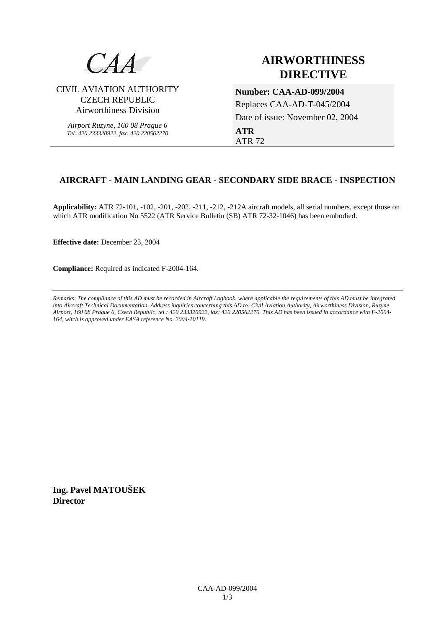

# **AIRWORTHINESS DIRECTIVE**

CIVIL AVIATION AUTHORITY CZECH REPUBLIC Airworthiness Division

> *Airport Ruzyne, 160 08 Prague 6 Tel: 420 233320922, fax: 420 220562270*

## **Number: CAA-AD-099/2004**  Replaces CAA-AD-T-045/2004 Date of issue: November 02, 2004 **ATR** ATR 72

### **AIRCRAFT - MAIN LANDING GEAR - SECONDARY SIDE BRACE - INSPECTION**

**Applicability:** ATR 72-101, -102, -201, -202, -211, -212, -212A aircraft models, all serial numbers, except those on which ATR modification No 5522 (ATR Service Bulletin (SB) ATR 72-32-1046) has been embodied.

**Effective date:** December 23, 2004

**Compliance:** Required as indicated F-2004-164.

*Remarks: The compliance of this AD must be recorded in Aircraft Logbook, where applicable the requirements of this AD must be integrated into Aircraft Technical Documentation. Address inquiries concerning this AD to: Civil Aviation Authority, Airworthiness Division, Ruzyne Airport, 160 08 Prague 6, Czech Republic, tel.: 420 233320922, fax: 420 220562270. This AD has been issued in accordance with F-2004- 164, witch is approved under EASA reference No. 2004-10119.* 

**Ing. Pavel MATOUŠEK Director**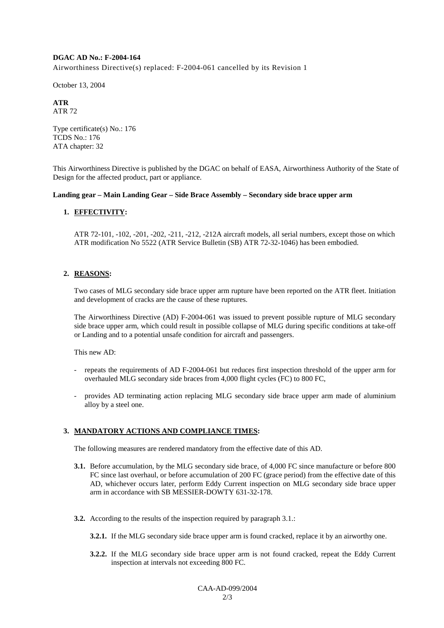#### **DGAC AD No.: F-2004-164**

Airworthiness Directive(s) replaced: F-2004-061 cancelled by its Revision 1

October 13, 2004

#### **ATR**  ATR 72

Type certificate(s) No.: 176 TCDS No.: 176 ATA chapter: 32

This Airworthiness Directive is published by the DGAC on behalf of EASA, Airworthiness Authority of the State of Design for the affected product, part or appliance.

#### **Landing gear – Main Landing Gear – Side Brace Assembly – Secondary side brace upper arm**

### **1. EFFECTIVITY:**

ATR 72-101, -102, -201, -202, -211, -212, -212A aircraft models, all serial numbers, except those on which ATR modification No 5522 (ATR Service Bulletin (SB) ATR 72-32-1046) has been embodied.

#### **2. REASONS:**

Two cases of MLG secondary side brace upper arm rupture have been reported on the ATR fleet. Initiation and development of cracks are the cause of these ruptures.

The Airworthiness Directive (AD) F-2004-061 was issued to prevent possible rupture of MLG secondary side brace upper arm, which could result in possible collapse of MLG during specific conditions at take-off or Landing and to a potential unsafe condition for aircraft and passengers.

This new AD:

- repeats the requirements of AD F-2004-061 but reduces first inspection threshold of the upper arm for overhauled MLG secondary side braces from 4,000 flight cycles (FC) to 800 FC,
- provides AD terminating action replacing MLG secondary side brace upper arm made of aluminium alloy by a steel one.

#### **3. MANDATORY ACTIONS AND COMPLIANCE TIMES:**

The following measures are rendered mandatory from the effective date of this AD.

- **3.1.** Before accumulation, by the MLG secondary side brace, of 4,000 FC since manufacture or before 800 FC since last overhaul, or before accumulation of 200 FC (grace period) from the effective date of this AD, whichever occurs later, perform Eddy Current inspection on MLG secondary side brace upper arm in accordance with SB MESSIER-DOWTY 631-32-178.
- **3.2.** According to the results of the inspection required by paragraph 3.1.:
	- **3.2.1.** If the MLG secondary side brace upper arm is found cracked, replace it by an airworthy one.
	- **3.2.2.** If the MLG secondary side brace upper arm is not found cracked, repeat the Eddy Current inspection at intervals not exceeding 800 FC.